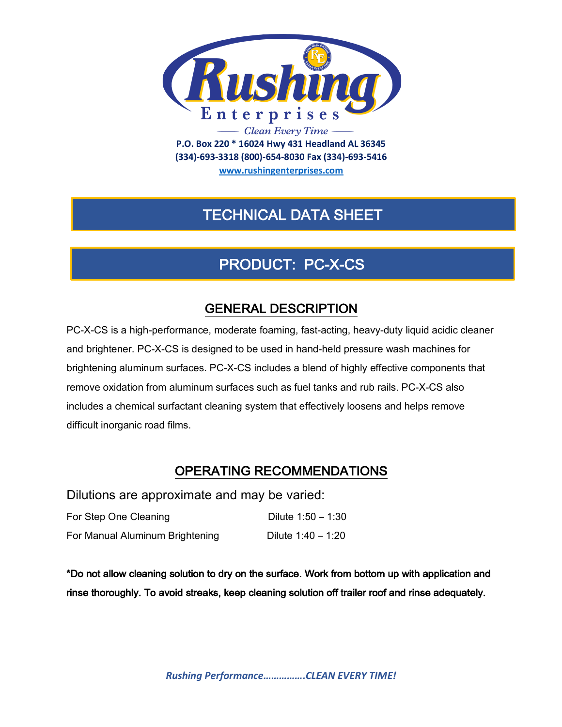

**(334)-693-3318 (800)-654-8030 Fax (334)-693-5416**

**www.rushingenterprises.com**

## TECHNICAL DATA SHEET

# PRODUCT: PC-X-CS

### GENERAL DESCRIPTION

PC-X-CS is a high-performance, moderate foaming, fast-acting, heavy-duty liquid acidic cleaner and brightener. PC-X-CS is designed to be used in hand-held pressure wash machines for brightening aluminum surfaces. PC-X-CS includes a blend of highly effective components that remove oxidation from aluminum surfaces such as fuel tanks and rub rails. PC-X-CS also includes a chemical surfactant cleaning system that effectively loosens and helps remove difficult inorganic road films.

#### OPERATING RECOMMENDATIONS

Dilutions are approximate and may be varied:

| For Step One Cleaning           | Dilute $1:50 - 1:30$ |
|---------------------------------|----------------------|
| For Manual Aluminum Brightening | Dilute $1:40 - 1:20$ |

\*Do not allow cleaning solution to dry on the surface. Work from bottom up with application and rinse thoroughly. To avoid streaks, keep cleaning solution off trailer roof and rinse adequately.